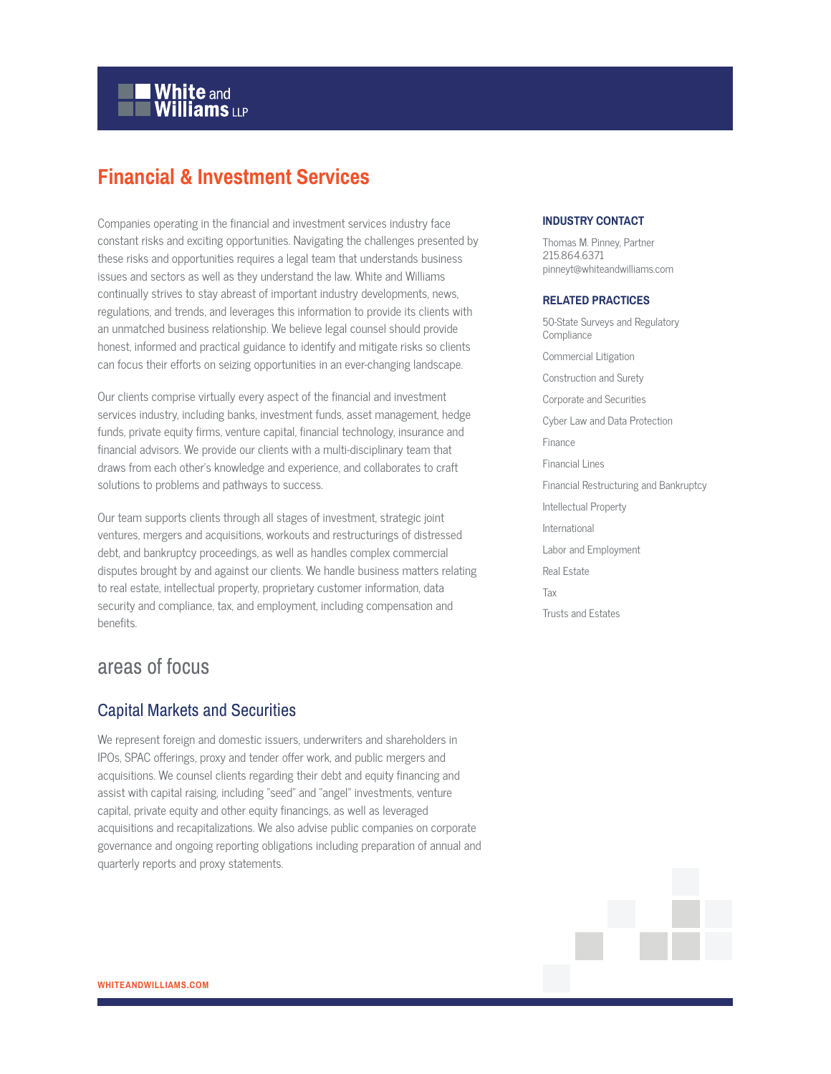# **White and Williams LLP**

# **Financial & Investment Services**

Companies operating in the financial and investment services industry face constant risks and exciting opportunities. Navigating the challenges presented by these risks and opportunities requires a legal team that understands business issues and sectors as well as they understand the law. White and Williams continually strives to stay abreast of important industry developments, news, regulations, and trends, and leverages this information to provide its clients with an unmatched business relationship. We believe legal counsel should provide honest, informed and practical guidance to identify and mitigate risks so clients can focus their efforts on seizing opportunities in an ever-changing landscape.

Our clients comprise virtually every aspect of the financial and investment services industry, including banks, investment funds, asset management, hedge funds, private equity firms, venture capital, financial technology, insurance and financial advisors. We provide our clients with a multi-disciplinary team that draws from each other's knowledge and experience, and collaborates to craft solutions to problems and pathways to success.

Our team supports clients through all stages of investment, strategic joint ventures, mergers and acquisitions, workouts and restructurings of distressed debt, and bankruptcy proceedings, as well as handles complex commercial disputes brought by and against our clients. We handle business matters relating to real estate, intellectual property, proprietary customer information, data security and compliance, tax, and employment, including compensation and benefits.

# areas of focus

#### Capital Markets and Securities

We represent foreign and domestic issuers, underwriters and shareholders in IPOs, SPAC offerings, proxy and tender offer work, and public mergers and acquisitions. We counsel clients regarding their debt and equity financing and assist with capital raising, including "seed" and "angel" investments, venture capital, private equity and other equity financings, as well as leveraged acquisitions and recapitalizations. We also advise public companies on corporate governance and ongoing reporting obligations including preparation of annual and quarterly reports and proxy statements.

#### **INDUSTRY CONTACT**

Thomas M. Pinney, Partner 215.864.6371 pinneyt@whiteandwilliams.com

#### **RELATED PRACTICES**

50-State Surveys and Regulatory Compliance Commercial Litigation Construction and Surety Corporate and Securities Cyber Law and Data Protection Finance Financial Lines Financial Restructuring and Bankruptcy Intellectual Property International Labor and Employment Real Estate Tax Trusts and Estates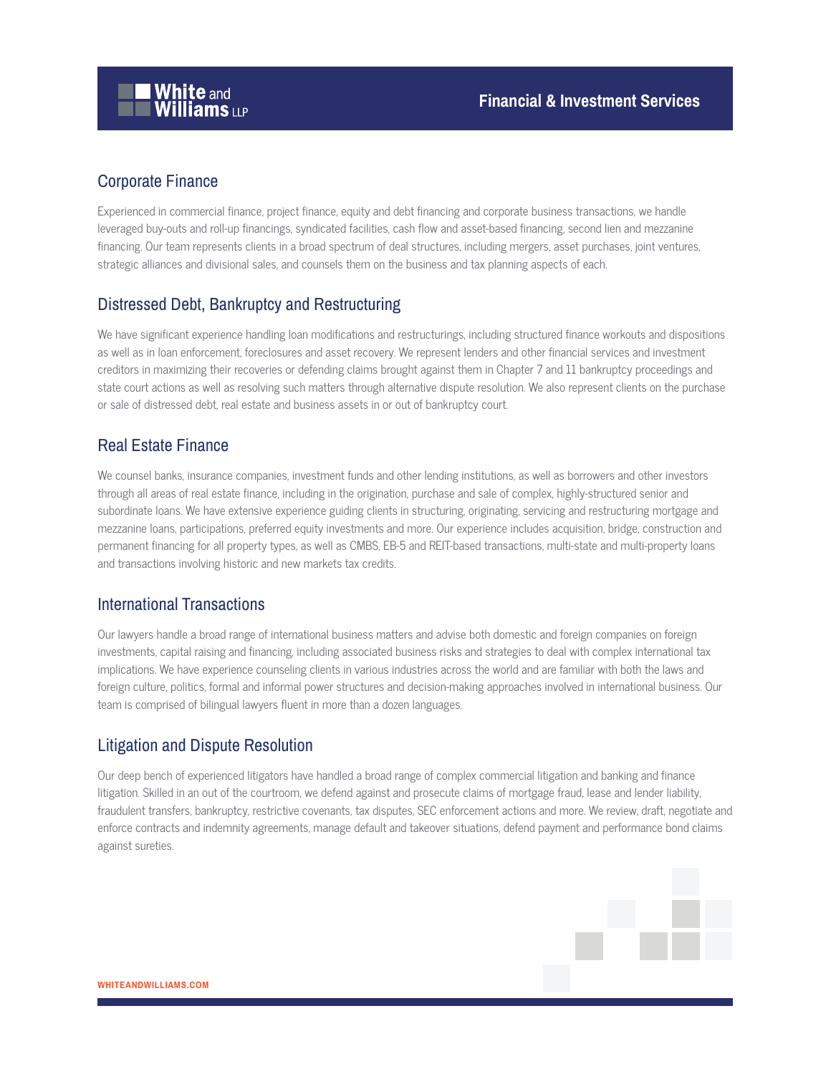# Corporate Finance

Experienced in commercial finance, project finance, equity and debt financing and corporate business transactions, we handle leveraged buy-outs and roll-up financings, syndicated facilities, cash flow and asset-based financing, second lien and mezzanine financing. Our team represents clients in a broad spectrum of deal structures, including mergers, asset purchases, joint ventures, strategic alliances and divisional sales, and counsels them on the business and tax planning aspects of each.

## Distressed Debt, Bankruptcy and Restructuring

We have significant experience handling loan modifications and restructurings, including structured finance workouts and dispositions as well as in loan enforcement, foreclosures and asset recovery. We represent lenders and other financial services and investment creditors in maximizing their recoveries or defending claims brought against them in Chapter 7 and 11 bankruptcy proceedings and state court actions as well as resolving such matters through alternative dispute resolution. We also represent clients on the purchase or sale of distressed debt, real estate and business assets in or out of bankruptcy court.

#### Real Estate Finance

We counsel banks, insurance companies, investment funds and other lending institutions, as well as borrowers and other investors through all areas of real estate finance, including in the origination, purchase and sale of complex, highly-structured senior and subordinate loans. We have extensive experience guiding clients in structuring, originating, servicing and restructuring mortgage and mezzanine loans, participations, preferred equity investments and more. Our experience includes acquisition, bridge, construction and permanent financing for all property types, as well as CMBS, EB-5 and REIT-based transactions, multi-state and multi-property loans and transactions involving historic and new markets tax credits.

#### International Transactions

Our lawyers handle a broad range of international business matters and advise both domestic and foreign companies on foreign investments, capital raising and financing, including associated business risks and strategies to deal with complex international tax implications. We have experience counseling clients in various industries across the world and are familiar with both the laws and foreign culture, politics, formal and informal power structures and decision-making approaches involved in international business. Our team is comprised of bilingual lawyers fluent in more than a dozen languages.

## Litigation and Dispute Resolution

Our deep bench of experienced litigators have handled a broad range of complex commercial litigation and banking and finance litigation. Skilled in an out of the courtroom, we defend against and prosecute claims of mortgage fraud, lease and lender liability, fraudulent transfers, bankruptcy, restrictive covenants, tax disputes, SEC enforcement actions and more. We review, draft, negotiate and enforce contracts and indemnity agreements, manage default and takeover situations, defend payment and performance bond claims against sureties.

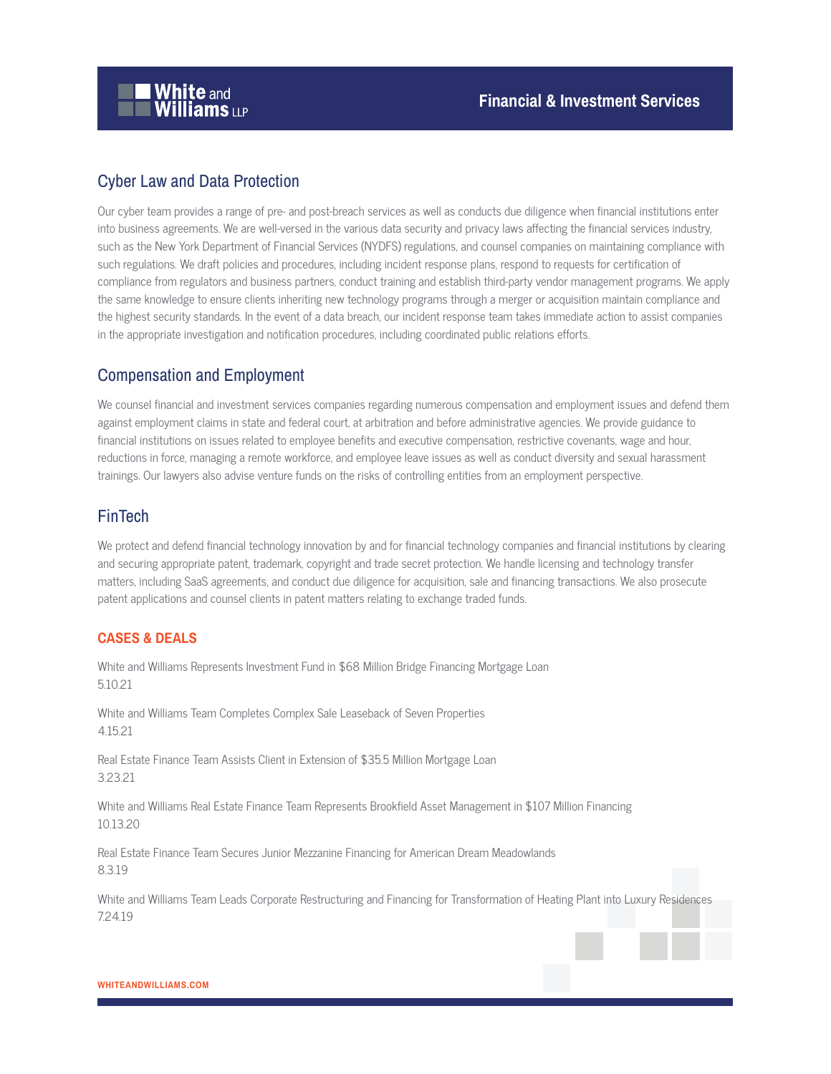

# Cyber Law and Data Protection

Our cyber team provides a range of pre- and post-breach services as well as conducts due diligence when financial institutions enter into business agreements. We are well-versed in the various data security and privacy laws affecting the financial services industry, such as the New York Department of Financial Services (NYDFS) regulations, and counsel companies on maintaining compliance with such regulations. We draft policies and procedures, including incident response plans, respond to requests for certification of compliance from regulators and business partners, conduct training and establish third-party vendor management programs. We apply the same knowledge to ensure clients inheriting new technology programs through a merger or acquisition maintain compliance and the highest security standards. In the event of a data breach, our incident response team takes immediate action to assist companies in the appropriate investigation and notification procedures, including coordinated public relations efforts.

#### Compensation and Employment

We counsel financial and investment services companies regarding numerous compensation and employment issues and defend them against employment claims in state and federal court, at arbitration and before administrative agencies. We provide guidance to financial institutions on issues related to employee benefits and executive compensation, restrictive covenants, wage and hour, reductions in force, managing a remote workforce, and employee leave issues as well as conduct diversity and sexual harassment trainings. Our lawyers also advise venture funds on the risks of controlling entities from an employment perspective.

#### FinTech

We protect and defend financial technology innovation by and for financial technology companies and financial institutions by clearing and securing appropriate patent, trademark, copyright and trade secret protection. We handle licensing and technology transfer matters, including SaaS agreements, and conduct due diligence for acquisition, sale and financing transactions. We also prosecute patent applications and counsel clients in patent matters relating to exchange traded funds.

#### **CASES & DEALS**

White and Williams Represents Investment Fund in \$68 Million Bridge Financing Mortgage Loan 5.10.21

White and Williams Team Completes Complex Sale Leaseback of Seven Properties 4.15.21

Real Estate Finance Team Assists Client in Extension of \$35.5 Million Mortgage Loan 3.23.21

White and Williams Real Estate Finance Team Represents Brookfield Asset Management in \$107 Million Financing 10.13.20

Real Estate Finance Team Secures Junior Mezzanine Financing for American Dream Meadowlands 8.3.19

White and Williams Team Leads Corporate Restructuring and Financing for Transformation of Heating Plant into Luxury Residences 7.24.19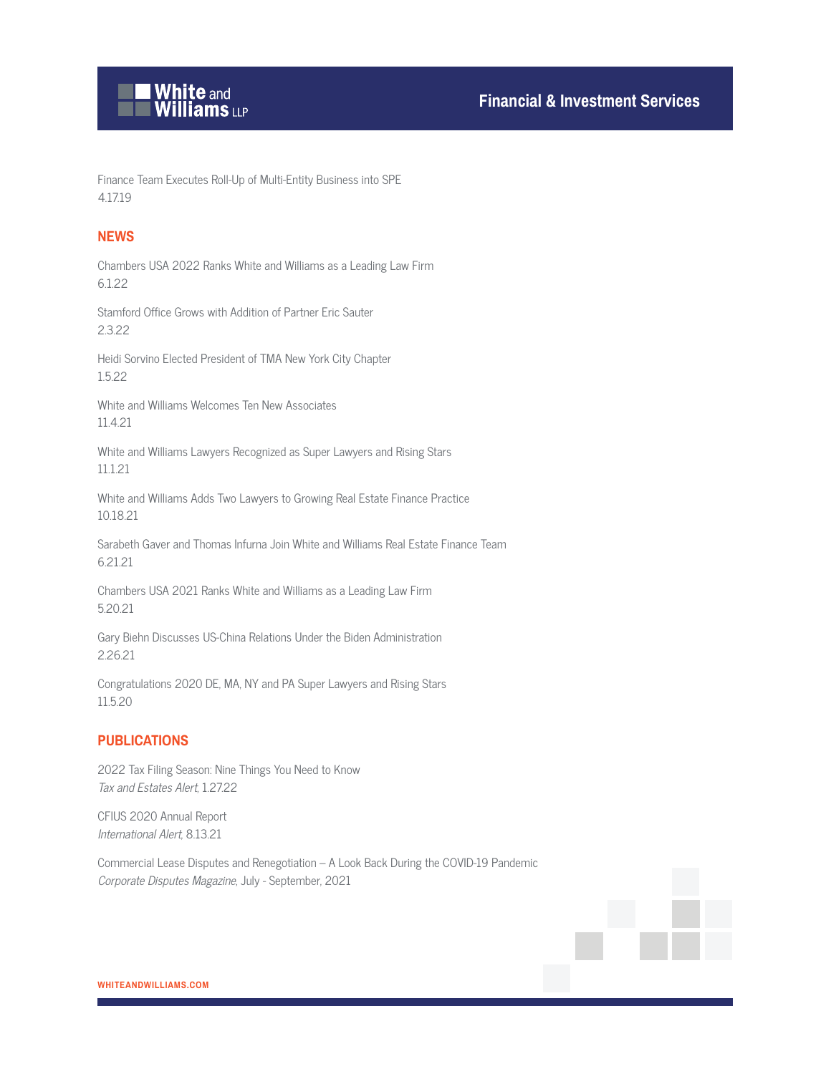

Finance Team Executes Roll-Up of Multi-Entity Business into SPE 4.17.19

#### **NEWS**

Chambers USA 2022 Ranks White and Williams as a Leading Law Firm 6.1.22

Stamford Office Grows with Addition of Partner Eric Sauter 2.3.22

Heidi Sorvino Elected President of TMA New York City Chapter 1.5.22

White and Williams Welcomes Ten New Associates 11.4.21

White and Williams Lawyers Recognized as Super Lawyers and Rising Stars 11.1.21

White and Williams Adds Two Lawyers to Growing Real Estate Finance Practice 10.18.21

Sarabeth Gaver and Thomas Infurna Join White and Williams Real Estate Finance Team 6.21.21

Chambers USA 2021 Ranks White and Williams as a Leading Law Firm 5.20.21

Gary Biehn Discusses US-China Relations Under the Biden Administration 2.26.21

Congratulations 2020 DE, MA, NY and PA Super Lawyers and Rising Stars 11.5.20

#### **PUBLICATIONS**

2022 Tax Filing Season: Nine Things You Need to Know Tax and Estates Alert, 1.27.22

CFIUS 2020 Annual Report International Alert, 8.13.21

Commercial Lease Disputes and Renegotiation – A Look Back During the COVID-19 Pandemic Corporate Disputes Magazine, July - September, 2021

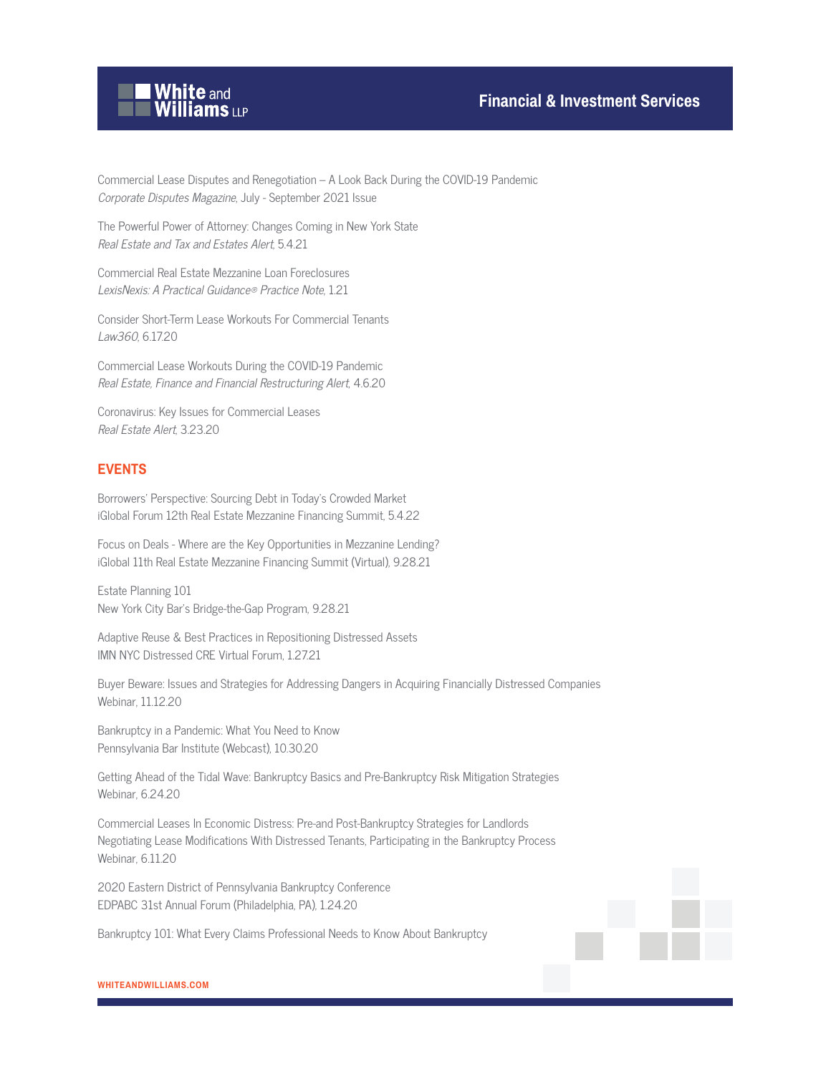

Commercial Lease Disputes and Renegotiation – A Look Back During the COVID-19 Pandemic Corporate Disputes Magazine, July - September 2021 Issue

The Powerful Power of Attorney: Changes Coming in New York State Real Estate and Tax and Estates Alert, 5.4.21

Commercial Real Estate Mezzanine Loan Foreclosures LexisNexis: A Practical Guidance® Practice Note, 1.21

Consider Short-Term Lease Workouts For Commercial Tenants Law360, 6.17.20

Commercial Lease Workouts During the COVID-19 Pandemic Real Estate, Finance and Financial Restructuring Alert, 4.6.20

Coronavirus: Key Issues for Commercial Leases Real Estate Alert, 3.23.20

#### **EVENTS**

Borrowers' Perspective: Sourcing Debt in Today's Crowded Market iGlobal Forum 12th Real Estate Mezzanine Financing Summit, 5.4.22

Focus on Deals - Where are the Key Opportunities in Mezzanine Lending? iGlobal 11th Real Estate Mezzanine Financing Summit (Virtual), 9.28.21

Estate Planning 101 New York City Bar's Bridge-the-Gap Program, 9.28.21

Adaptive Reuse & Best Practices in Repositioning Distressed Assets IMN NYC Distressed CRE Virtual Forum, 1.27.21

Buyer Beware: Issues and Strategies for Addressing Dangers in Acquiring Financially Distressed Companies Webinar, 11.12.20

Bankruptcy in a Pandemic: What You Need to Know Pennsylvania Bar Institute (Webcast), 10.30.20

Getting Ahead of the Tidal Wave: Bankruptcy Basics and Pre-Bankruptcy Risk Mitigation Strategies Webinar, 6.24.20

Commercial Leases In Economic Distress: Pre-and Post-Bankruptcy Strategies for Landlords Negotiating Lease Modifications With Distressed Tenants, Participating in the Bankruptcy Process Webinar, 6.11.20

2020 Eastern District of Pennsylvania Bankruptcy Conference EDPABC 31st Annual Forum (Philadelphia, PA), 1.24.20

Bankruptcy 101: What Every Claims Professional Needs to Know About Bankruptcy